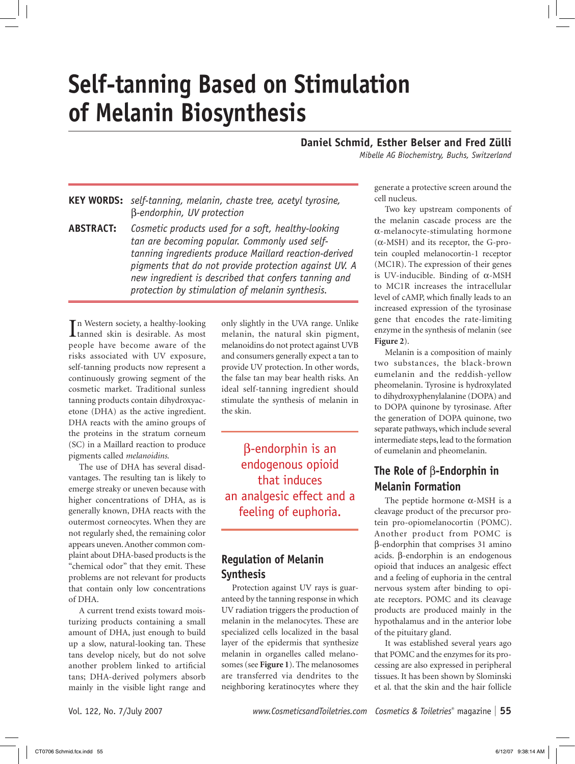# **Self-tanning Based on Stimulation of Melanin Biosynthesis**

#### **Daniel Schmid, Esther Belser and Fred Zülli**

*Mibelle AG Biochemistry, Buchs, Switzerland*

**Key words:** *self-tanning, melanin, chaste tree, acetyl tyrosine,*  β*-endorphin, UV protection*

**Abstract:** *Cosmetic products used for a soft, healthy-looking tan are becoming popular. Commonly used selftanning ingredients produce Maillard reaction-derived pigments that do not provide protection against UV. A new ingredient is described that confers tanning and protection by stimulation of melanin synthesis.*

In Western society, a healthy-looking<br>
Itanned skin is desirable. As most tanned skin is desirable. As most people have become aware of the risks associated with UV exposure, self-tanning products now represent a continuously growing segment of the cosmetic market. Traditional sunless tanning products contain dihydroxyacetone (DHA) as the active ingredient. DHA reacts with the amino groups of the proteins in the stratum corneum (SC) in a Maillard reaction to produce pigments called *melanoidins*.

The use of DHA has several disadvantages. The resulting tan is likely to emerge streaky or uneven because with higher concentrations of DHA, as is generally known, DHA reacts with the outermost corneocytes. When they are not regularly shed, the remaining color appears uneven. Another common complaint about DHA-based products is the "chemical odor" that they emit. These problems are not relevant for products that contain only low concentrations of DHA.

A current trend exists toward moisturizing products containing a small amount of DHA, just enough to build up a slow, natural-looking tan. These tans develop nicely, but do not solve another problem linked to artificial tans; DHA-derived polymers absorb mainly in the visible light range and

only slightly in the UVA range. Unlike melanin, the natural skin pigment, melanoidins do not protect against UVB and consumers generally expect a tan to provide UV protection. In other words, the false tan may bear health risks. An ideal self-tanning ingredient should stimulate the synthesis of melanin in the skin.

β-endorphin is an endogenous opioid that induces an analgesic effect and a feeling of euphoria.

# **Regulation of Melanin Synthesis**

Protection against UV rays is guaranteed by the tanning response in which UV radiation triggers the production of melanin in the melanocytes. These are specialized cells localized in the basal layer of the epidermis that synthesize melanin in organelles called melanosomes (see **Figure 1**). The melanosomes are transferred via dendrites to the neighboring keratinocytes where they

generate a protective screen around the cell nucleus.

Two key upstream components of the melanin cascade process are the α-melanocyte-stimulating hormone  $(\alpha$ -MSH) and its receptor, the G-protein coupled melanocortin-1 receptor (MC1R). The expression of their genes is UV-inducible. Binding of α-MSH to MC1R increases the intracellular level of cAMP, which finally leads to an increased expression of the tyrosinase gene that encodes the rate-limiting enzyme in the synthesis of melanin (see **Figure 2**).

Melanin is a composition of mainly two substances, the black-brown eumelanin and the reddish-yellow pheomelanin. Tyrosine is hydroxylated to dihydroxyphenylalanine (DOPA) and to DOPA quinone by tyrosinase. After the generation of DOPA quinone, two separate pathways, which include several intermediate steps, lead to the formation of eumelanin and pheomelanin.

# **The Role of** β**-Endorphin in Melanin Formation**

The peptide hormone  $\alpha$ -MSH is a cleavage product of the precursor protein pro-opiomelanocortin (POMC). Another product from POMC is β-endorphin that comprises 31 amino acids. β-endorphin is an endogenous opioid that induces an analgesic effect and a feeling of euphoria in the central nervous system after binding to opiate receptors. POMC and its cleavage products are produced mainly in the hypothalamus and in the anterior lobe of the pituitary gland.

It was established several years ago that POMC and the enzymes for its processing are also expressed in peripheral tissues. It has been shown by Slominski et al. that the skin and the hair follicle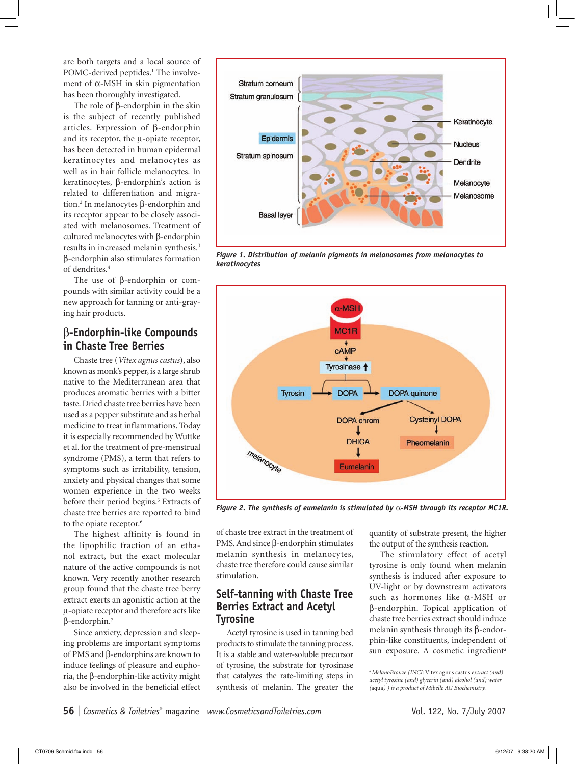are both targets and a local source of POMC-derived peptides.<sup>1</sup> The involvement of α-MSH in skin pigmentation has been thoroughly investigated.

The role of β-endorphin in the skin is the subject of recently published articles. Expression of β-endorphin and its receptor, the µ-opiate receptor, has been detected in human epidermal keratinocytes and melanocytes as well as in hair follicle melanocytes. In keratinocytes, β-endorphin's action is related to differentiation and migration.2 In melanocytes β-endorphin and its receptor appear to be closely associated with melanosomes. Treatment of cultured melanocytes with β-endorphin results in increased melanin synthesis.3 β-endorphin also stimulates formation of dendrites.4

The use of β-endorphin or compounds with similar activity could be a new approach for tanning or anti-graying hair products.

# β**-Endorphin-like Compounds in Chaste Tree Berries**

Chaste tree (*Vitex agnus castus*), also known as monk's pepper, is a large shrub native to the Mediterranean area that produces aromatic berries with a bitter taste. Dried chaste tree berries have been used as a pepper substitute and as herbal medicine to treat inflammations. Today it is especially recommended by Wuttke et al. for the treatment of pre-menstrual syndrome (PMS), a term that refers to symptoms such as irritability, tension, anxiety and physical changes that some women experience in the two weeks before their period begins.<sup>5</sup> Extracts of chaste tree berries are reported to bind to the opiate receptor.<sup>6</sup>

The highest affinity is found in the lipophilic fraction of an ethanol extract, but the exact molecular nature of the active compounds is not known. Very recently another research group found that the chaste tree berry extract exerts an agonistic action at the µ-opiate receptor and therefore acts like β-endorphin.7

Since anxiety, depression and sleeping problems are important symptoms of PMS and β-endorphins are known to induce feelings of pleasure and euphoria, the β-endorphin-like activity might also be involved in the beneficial effect



*Figure 1. Distribution of melanin pigments in melanosomes from melanocytes to keratinocytes*



*Figure 2. The synthesis of eumelanin is stimulated by* α*-MSH through its receptor MC1R.*

of chaste tree extract in the treatment of PMS. And since β-endorphin stimulates melanin synthesis in melanocytes, chaste tree therefore could cause similar stimulation.

### **Self-tanning with Chaste Tree Berries Extract and Acetyl Tyrosine**

Acetyl tyrosine is used in tanning bed products to stimulate the tanning process. It is a stable and water-soluble precursor of tyrosine, the substrate for tyrosinase that catalyzes the rate-limiting steps in synthesis of melanin. The greater the

quantity of substrate present, the higher the output of the synthesis reaction.

The stimulatory effect of acetyl tyrosine is only found when melanin synthesis is induced after exposure to UV-light or by downstream activators such as hormones like α-MSH or β-endorphin. Topical application of chaste tree berries extract should induce melanin synthesis through its β-endorphin-like constituents, independent of sun exposure. A cosmetic ingredient<sup>a</sup>

*a MelanoBronze (INCI:* Vitex agnus castus *extract (and) acetyl tyrosine (and) glycerin (and) alcohol (and) water (*aqua*) ) is a product of Mibelle AG Biochemistry.*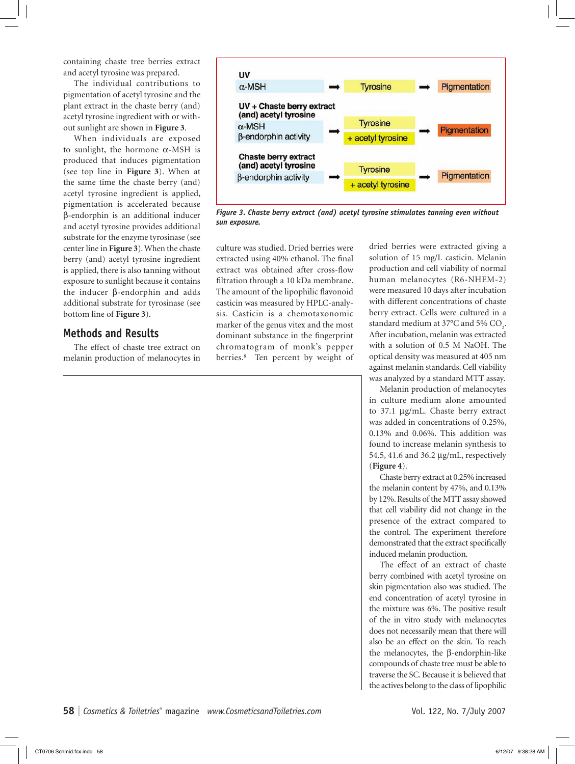containing chaste tree berries extract and acetyl tyrosine was prepared.

The individual contributions to pigmentation of acetyl tyrosine and the plant extract in the chaste berry (and) acetyl tyrosine ingredient with or without sunlight are shown in **Figure 3**.

When individuals are exposed to sunlight, the hormone  $\alpha$ -MSH is produced that induces pigmentation (see top line in **Figure 3**). When at the same time the chaste berry (and) acetyl tyrosine ingredient is applied, pigmentation is accelerated because β-endorphin is an additional inducer and acetyl tyrosine provides additional substrate for the enzyme tyrosinase (see center line in **Figure 3**). When the chaste berry (and) acetyl tyrosine ingredient is applied, there is also tanning without exposure to sunlight because it contains the inducer β-endorphin and adds additional substrate for tyrosinase (see bottom line of **Figure 3**).

#### **Methods and Results**

The effect of chaste tree extract on melanin production of melanocytes in



*Figure 3. Chaste berry extract (and) acetyl tyrosine stimulates tanning even without sun exposure.*

culture was studied. Dried berries were extracted using 40% ethanol. The final extract was obtained after cross-flow filtration through a 10 kDa membrane. The amount of the lipophilic flavonoid casticin was measured by HPLC-analysis. Casticin is a chemotaxonomic marker of the genus vitex and the most dominant substance in the fingerprint chromatogram of monk's pepper berries.8 Ten percent by weight of dried berries were extracted giving a solution of 15 mg/L casticin. Melanin production and cell viability of normal human melanocytes (R6-NHEM-2) were measured 10 days after incubation with different concentrations of chaste berry extract. Cells were cultured in a standard medium at 37 $\mathrm{^{\circ}C}$  and 5%  $\mathrm{CO}_{2}$ . After incubation, melanin was extracted with a solution of 0.5 M NaOH. The optical density was measured at 405 nm against melanin standards. Cell viability was analyzed by a standard MTT assay.

Melanin production of melanocytes in culture medium alone amounted to 37.1 µg/mL. Chaste berry extract was added in concentrations of 0.25%, 0.13% and 0.06%. This addition was found to increase melanin synthesis to 54.5, 41.6 and 36.2 µg/mL, respectively (**Figure 4**).

Chaste berry extract at 0.25% increased the melanin content by 47%, and 0.13% by 12%. Results of the MTT assay showed that cell viability did not change in the presence of the extract compared to the control. The experiment therefore demonstrated that the extract specifically induced melanin production.

The effect of an extract of chaste berry combined with acetyl tyrosine on skin pigmentation also was studied. The end concentration of acetyl tyrosine in the mixture was 6%. The positive result of the in vitro study with melanocytes does not necessarily mean that there will also be an effect on the skin. To reach the melanocytes, the β-endorphin-like compounds of chaste tree must be able to traverse the SC. Because it is believed that the actives belong to the class of lipophilic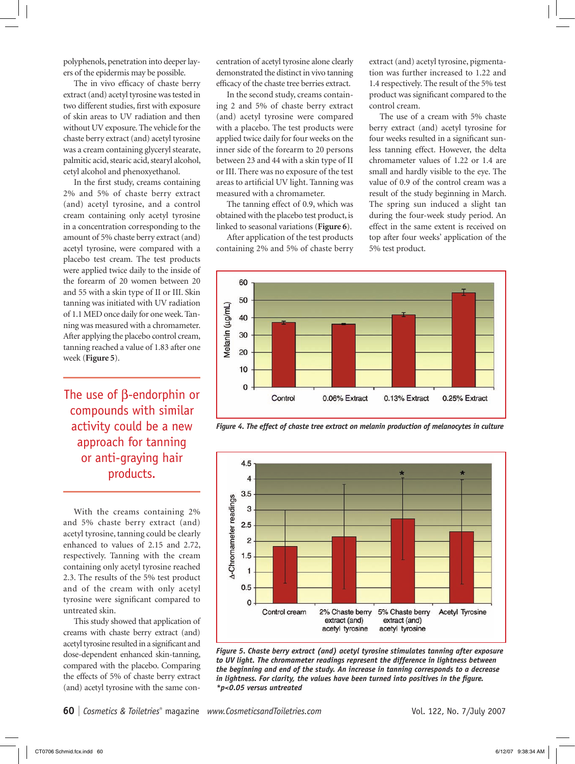polyphenols, penetration into deeper layers of the epidermis may be possible.

The in vivo efficacy of chaste berry extract (and) acetyl tyrosine was tested in two different studies, first with exposure of skin areas to UV radiation and then without UV exposure. The vehicle for the chaste berry extract (and) acetyl tyrosine was a cream containing glyceryl stearate, palmitic acid, stearic acid, stearyl alcohol, cetyl alcohol and phenoxyethanol.

In the first study, creams containing 2% and 5% of chaste berry extract (and) acetyl tyrosine, and a control cream containing only acetyl tyrosine in a concentration corresponding to the amount of 5% chaste berry extract (and) acetyl tyrosine, were compared with a placebo test cream. The test products were applied twice daily to the inside of the forearm of 20 women between 20 and 55 with a skin type of II or III. Skin tanning was initiated with UV radiation of 1.1 MED once daily for one week. Tanning was measured with a chromameter. After applying the placebo control cream, tanning reached a value of 1.83 after one week (**Figure 5**).

The use of β-endorphin or compounds with similar activity could be a new approach for tanning or anti-graying hair products.

With the creams containing 2% and 5% chaste berry extract (and) acetyl tyrosine, tanning could be clearly enhanced to values of 2.15 and 2.72, respectively. Tanning with the cream containing only acetyl tyrosine reached 2.3. The results of the 5% test product and of the cream with only acetyl tyrosine were significant compared to untreated skin.

This study showed that application of creams with chaste berry extract (and) acetyl tyrosine resulted in a significant and dose-dependent enhanced skin-tanning, compared with the placebo. Comparing the effects of 5% of chaste berry extract (and) acetyl tyrosine with the same concentration of acetyl tyrosine alone clearly demonstrated the distinct in vivo tanning efficacy of the chaste tree berries extract.

In the second study, creams containing 2 and 5% of chaste berry extract (and) acetyl tyrosine were compared with a placebo. The test products were applied twice daily for four weeks on the inner side of the forearm to 20 persons between 23 and 44 with a skin type of II or III. There was no exposure of the test areas to artificial UV light. Tanning was measured with a chromameter.

The tanning effect of 0.9, which was obtained with the placebo test product, is linked to seasonal variations (**Figure 6**).

After application of the test products containing 2% and 5% of chaste berry

extract (and) acetyl tyrosine, pigmentation was further increased to 1.22 and 1.4 respectively. The result of the 5% test product was significant compared to the control cream.

The use of a cream with 5% chaste berry extract (and) acetyl tyrosine for four weeks resulted in a significant sunless tanning effect. However, the delta chromameter values of 1.22 or 1.4 are small and hardly visible to the eye. The value of 0.9 of the control cream was a result of the study beginning in March. The spring sun induced a slight tan during the four-week study period. An effect in the same extent is received on top after four weeks' application of the 5% test product.



*Figure 4. The effect of chaste tree extract on melanin production of melanocytes in culture*



*Figure 5. Chaste berry extract (and) acetyl tyrosine stimulates tanning after exposure*  to UV light. The chromameter readings represent the difference in lightness between *the beginning and end of the study. An increase in tanning corresponds to a decrease in lightness. For clarity, the values have been turned into positives in the figure. \*p<0.05 versus untreated*